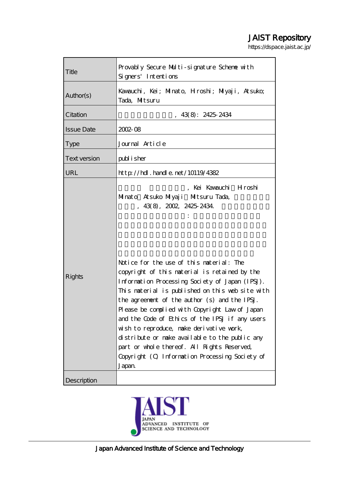# JAIST Repository

https://dspace.jaist.ac.jp/

| Title               | Provably Secure Multi-signature Scheme with<br>Signers' Intentions                                                                                                                                                                                                                                                                                                                                                                                                                                                                                                                                                                                        |
|---------------------|-----------------------------------------------------------------------------------------------------------------------------------------------------------------------------------------------------------------------------------------------------------------------------------------------------------------------------------------------------------------------------------------------------------------------------------------------------------------------------------------------------------------------------------------------------------------------------------------------------------------------------------------------------------|
| Author(s)           | Kavauchi, Kei; Minato, Hroshi; Miyaji, Atsuko;<br>Tada, Miltsuru                                                                                                                                                                                                                                                                                                                                                                                                                                                                                                                                                                                          |
| Citation            | , 43(8): 24252434                                                                                                                                                                                                                                                                                                                                                                                                                                                                                                                                                                                                                                         |
| <b>Issue Date</b>   | $2002 - 08$                                                                                                                                                                                                                                                                                                                                                                                                                                                                                                                                                                                                                                               |
| <b>Type</b>         | Journal Article                                                                                                                                                                                                                                                                                                                                                                                                                                                                                                                                                                                                                                           |
| <b>Text version</b> | publisher                                                                                                                                                                                                                                                                                                                                                                                                                                                                                                                                                                                                                                                 |
| URL                 | $http$ // $hdl$ . handle. net/10119/4382                                                                                                                                                                                                                                                                                                                                                                                                                                                                                                                                                                                                                  |
| <b>Rights</b>       | , Kei Kavauchi Hroshi<br>Minato Atsuko Miyaji Mitsuru Tada,<br>, 43(8), 2002, 24252434<br>Notice for the use of this naterial: The<br>copyright of this material is retained by the<br>Information Processing Society of Japan (IPSJ).<br>This material is published on this web site with<br>the agreement of the author (s) and the IPSJ.<br>Please be complied with Copyright Law of Japan<br>and the Code of Ethics of the IPSJ if any users<br>wish to reproduce, make derivative work,<br>distribute or make available to the public any<br>part or whole thereof. All Rights Reserved,<br>Copyright (C) Information Processing Society of<br>Japan |
| Description         |                                                                                                                                                                                                                                                                                                                                                                                                                                                                                                                                                                                                                                                           |

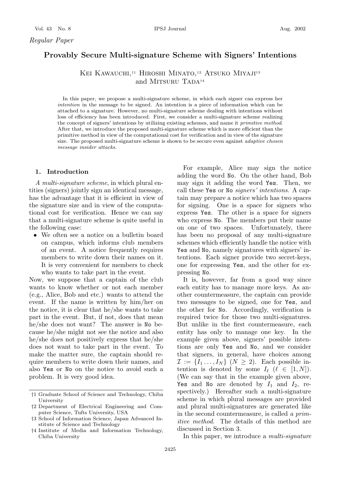*Regular Paper*

# **Provably Secure Multi-signature Scheme with Signers' Intentions**

Kei Kawauchi,†<sup>1</sup> Hiroshi Minato,†<sup>2</sup> Atsuko Miyaji†<sup>3</sup> and MITSURU TADA<sup>†4</sup>

In this paper, we propose a multi-signature scheme, in which each signer can express her *intention* in the message to be signed. An intention is a piece of information which can be attached to a signature. However, no multi-signature scheme dealing with intentions without loss of efficiency has been introduced. First, we consider a multi-signature scheme realizing the concept of signers' intentions by utilizing existing schemes, and name it *primitive method*. After that, we introduce the proposed multi-signature scheme which is more efficient than the primitive method in view of the computational cost for verification and in view of the signature size. The proposed multi-signature scheme is shown to be secure even against *adaptive chosen message insider attacks*.

#### **1. Introduction**

*A multi-signature scheme*, in which plural entities (signers) jointly sign an identical message, has the advantage that it is efficient in view of the signature size and in view of the computational cost for verification. Hence we can say that a multi-signature scheme is quite useful in the following case:

• We often see a notice on a bulletin board on campus, which informs club members of an event. A notice frequently requires members to write down their names on it. It is very convenient for members to check who wants to take part in the event.

Now, we suppose that a captain of the club wants to know whether or not each member (e.g., Alice, Bob and etc.) wants to attend the event. If the name is written by him/her on the notice, it is clear that he/she wants to take part in the event. But, if not, does that mean he/she does not want? The answer is No because he/she might not see the notice and also he/she does not positively express that he/she does not want to take part in the event. To make the matter sure, the captain should require members to write down their names, and also Yes or No on the notice to avoid such a problem. It is very good idea.

For example, Alice may sign the notice adding the word No. On the other hand, Bob may sign it adding the word Yes. Then, we call these Yes or No *signers' intentions*. A captain may prepare a notice which has two spaces for signing. One is a space for signers who express Yes. The other is a space for signers who express No. The members put their name on one of two spaces. Unfortunately, there has been no proposal of any multi-signature schemes which efficiently handle the notice with Yes and No, namely signatures with signers' intentions. Each signer provide two secret-keys, one for expressing Yes, and the other for expressing No.

It is, however, far from a good way since each entity has to manage more keys. As another countermeasure, the captain can provide two messages to be signed, one for Yes, and the other for No. Accordingly, verification is required twice for those two multi-signatures. But unlike in the first countermeasure, each entity has only to manage one key. In the example given above, signers' possible intentions are only Yes and No, and we consider that signers, in general, have choices among  $\mathcal{I} := \{I_1, \ldots, I_N\} \ (N \geq 2)$ . Each possible intention is denoted by some  $I_{\ell}$  ( $\ell \in [1, N]$ ).<br>(We can say that in the example given above (We can say that in the example given above, Yes and No are denoted by  $I_1$  and  $I_2$ , respectively.) Hereafter such a multi-signature scheme in which plural messages are provided and plural multi-signatures are generated like in the second countermeasure, is called *a primitive method*. The details of this method are discussed in Section 3.

In this paper, we introduce a *multi-signature*

<sup>†</sup>1 Graduate School of Science and Technology, Chiba University

<sup>†</sup>2 Department of Electrical Engineering and Computer Science, Tufts University, USA

<sup>†</sup>3 School of Information Science, Japan Advanced Institute of Science and Technology

<sup>†</sup>4 Institute of Media and Information Technology, Chiba University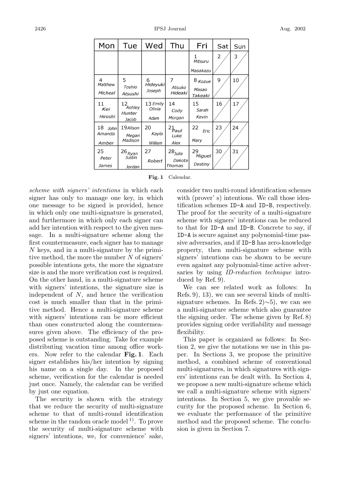| Mon                           | Tue                                    | Wed                        | Thu                              | Fri                         | Sat | Sun |
|-------------------------------|----------------------------------------|----------------------------|----------------------------------|-----------------------------|-----|-----|
|                               |                                        |                            |                                  | Mitsuru<br>Masakazu         | 2   | 3   |
| 4<br>Matthew<br>Micheal       | 5<br>Toshio<br>Atsushi                 | 6<br>Hideyuki<br>Joseph    | 7<br>Atsuko<br>Hideaki           | 8 Kozue<br>Masao<br>Takeaki | 9   | 10  |
| 11<br>Kei<br>Hiroshi          | 12<br><b>Ashley</b><br>Hunter<br>Jacob | 13 Emily<br>Olivia<br>Adam | 14<br>Cody<br>Morgan             | 15<br>Sarah<br>Kevin        | 16  | 17  |
| 18<br>John<br>Amanda<br>Amber | 19Alison<br>Megan<br>Madison           | 20<br>Kayla<br>William     | $2h_{aul}$<br>Luke<br>Alex       | 22<br>Eric<br>Mary          | 23  | 24  |
| 25<br>Peter<br>James          | $26_{Rynn}$<br>Justin<br>Jordan        | 27<br>Robert               | $28_{Julia}$<br>Dakota<br>Thomas | 29<br>Miguel<br>Destiny     | 30  | 31  |

| Fig. 1 Calendar. |
|------------------|
|                  |

*scheme with signers' intentions* in which each signer has only to manage one key, in which one message to be signed is provided, hence in which only one multi-signature is generated, and furthermore in which only each signer can add her intention with respect to the given message. In a multi-signature scheme along the first countermeasure, each signer has to manage N keys, and in a multi-signature by the primitive method, the more the number N of signers' possible intentions gets, the more the signature size is and the more verification cost is required. On the other hand, in a multi-signature scheme with signers' intentions, the signature size is independent of  $N$ , and hence the verification cost is much smaller than that in the primitive method. Hence a multi-signature scheme with signers' intentions can be more efficient than ones constructed along the countermeasures given above. The efficiency of the proposed scheme is outstanding. Take for example distributing vacation time among office workers. Now refer to the calendar **Fig. 1**. Each signer establishes his/her intention by signing his name on a single day. In the proposed scheme, verification for the calendar is needed just once. Namely, the calendar can be verified by just one equation.

The security is shown with the strategy that we reduce the security of multi-signature scheme to that of multi-round identification scheme in the random oracle model  $\mathbb{1}^1$ . To prove the security of multi-signature scheme with signers' intentions, we, for convenience' sake,

consider two multi-round identification schemes with (prover' s) intentions. We call those identification schemes ID-A and ID-B, respectively. The proof for the security of a multi-signature scheme with signers' intentions can be reduced to that for ID-A and ID-B. Concrete to say, if ID-A is secure against any polynomial-time passive adversaries, and if ID-B has zero-knowledge property, then multi-signature scheme with signers' intentions can be shown to be secure even against any polynomial-time active adversaries by using *ID-reduction technique* introduced by Ref. 9).

We can see related work as follows: In Refs. 9), 13), we can see several kinds of multisignature schemes. In Refs. 2)∼5), we can see a multi-signature scheme which also guarantee the signing order. The scheme given by Ref. 8) provides signing order verifiability and message flexibility.

This paper is organized as follows: In Section 2, we give the notations we use in this paper. In Sections 3, we propose the primitive method, a combined scheme of conventional multi-signatures, in which signatures with signers' intentions can be dealt with. In Section 4, we propose a new multi-signature scheme which we call a multi-signature scheme with signers' intentions. In Section 5, we give provable security for the proposed scheme. In Section 6, we evaluate the performance of the primitive method and the proposed scheme. The conclusion is given in Section 7.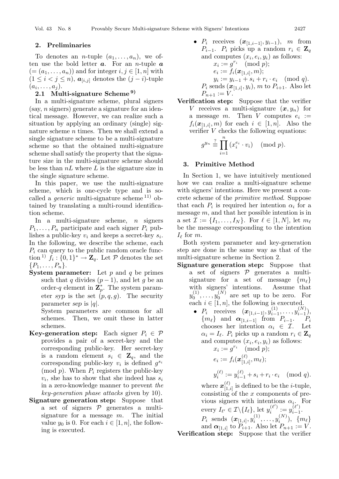## **2. Preliminaries**

To denotes an *n*-tuple  $(a_1, \ldots, a_n)$ , we often use the bold letter  $a$ . For an *n*-tuple  $a$  $(=(a_1,\ldots,a_n))$  and for integer  $i, j \in [1,n]$  with  $(1 \leq i < j \leq n)$ ,  $a_{[i,j]}$  denotes the  $(j-i)$ -tuple  $(a_i,\ldots,a_j).$ 

## **2.1 Multi-signature Scheme 9)**

In a multi-signature scheme, plural signers  $(say, n \text{ signers})$  generate a signature for an identical message. However, we can realize such a situation by applying an ordinary (single) signature scheme  $n$  times. Then we shall extend a single signature scheme to be a multi-signature scheme so that the obtained multi-signature scheme shall satisfy the property that the signature size in the multi-signature scheme should be less than  $nL$  where L is the signature size in the single signature scheme.

In this paper, we use the multi-signature scheme, which is one-cycle type and is socalled a *generic* multi-signature scheme  $11$  obtained by translating a multi-round identification scheme.

In a multi-signature scheme,  $n$  signers  $P_1, \ldots, P_n$  participate and each signer  $P_i$  publishes a public-key  $v_i$  and keeps a secret-key  $s_i$ . In the following, we describe the scheme, each  $P_i$  can query to the public random oracle function <sup>1)</sup>  $f_i : \{0,1\}^* \to \mathbb{Z}_q$ . Let P denotes the set  $\{P_1,\ldots,P_n\}.$ 

**System parameter:** Let p and q be primes such that q divides  $(p-1)$ , and let g be an order-q element in  $\mathbf{Z}_p^*$ . The system param-<br>oter symple the set  $(p, q, q)$ . The sequrity eter *syp* is the set  $(p, q, g)$ . The security parameter *sep* is  $|q|$ .

System parameters are common for all schemes. Then, we omit these in latter schemes.

- **Key-generation step:** Each signer  $P_i \in \mathcal{P}$ provides a pair of a secret-key and the corresponding public-key. Her secret-key is a random element  $s_i \in \mathbf{Z}_q$ , and the corresponding public-key  $v_i$  is defined  $g^{s_i}$ (mod  $p$ ). When  $P_i$  registers the public-key  $v_i$ , she has to show that she indeed has  $s_i$ in a zero-knowledge manner to prevent *the key-generation phase attacks* given by 10).
- **Signature generation step:** Suppose that a set of signers P generates a multisignature for a message  $m$ . The initial value  $y_0$  is 0. For each  $i \in [1, n]$ , the following is executed.
- $P_i$  receives  $(\mathbf{x}_{[1,i-1]}, y_{i-1}), m$  from  $P_{i-1}$ .  $P_i$  picks up a random  $r_i \in \mathbf{Z}_q$ and computes  $(x_i, e_i, y_i)$  as follows:  $x_i := g^{r_i} \pmod{p};$  $e_i := f_i(\boldsymbol{x}_{[1,i]}, m);$  $y_i := y_{i-1} + s_i + r_i \cdot e_i \pmod{q}.$  $P_i$  sends  $(\boldsymbol{x}_{[1,i]}, y_i)$ , m to  $P_{i+1}$ . Also let  $P_{n+1} := V$ .
- **Verification step:** Suppose that the verifier V receives a multi-signature  $(x, y_n)$  for a message m. Then V computes  $e_i :=$  $f_i(\boldsymbol{x}_{[1,i]}, m)$  for each  $i \in [1, n]$ . Also the verifier  $V$  checks the following equations:

$$
g^{y_n} \stackrel{?}{\equiv} \prod_{i=1}^n (x_i^{e_i} \cdot v_i) \pmod{p}.
$$

## **3. Primitive Method**

In Section 1, we have intuitively mentioned how we can realize a multi-signature scheme with signers' intentions. Here we present a concrete scheme of the *primitive method*. Suppose that each  $P_i$  is required her intention  $\alpha_i$  for a message  $m$ , and that her possible intention is in a set  $\mathcal{I} := \{I_1, \ldots, I_N\}$ . For  $\ell \in [1, N]$ , let  $m_{\ell}$ be the message corresponding to the intention  $I_{\ell}$  for m.<br>Roth s

Both system parameter and key-generation step are done in the same way as that of the multi-signature scheme in Section 2.

- **Signature generation step:** Suppose that a set of signers  $P$  generates a multisignature for a set of message  $\{m_\ell\}$ <br>with signers' intentions Assume that with signers' intentions. Assume that υ<br>Α  $\begin{pmatrix} 1 \\ 0 \end{pmatrix}, \ldots, y_0^{(N)}$  are set up to be zero. For ach  $i \in [1, n]$  the following is executed each  $i \in [1, n]$ , the following is executed.
	- $P_i$  receives  $(\mathbf{x}_{[1,i-1]}, y_{i-1}^{(1)}, \ldots, y_{i-1}^{(N)}),$ <br> $\{m_i\}$  and  $\alpha_{[1,i-1]}$  from  $P_{i-1}$  $\{m_{\ell}\}\$ and  $\alpha_{[1,i-1]}$  from  $P_{i-1}$ .  $P_i$ <br>chooses her intention  $\alpha_i \in \mathcal{T}$  Let chooses her intention  $\alpha_i \in \mathcal{I}$ . Let  $\alpha_i = I_\ell$ .  $P_i$  picks up a random  $r_i \in \mathbf{Z}_q$ <br>and computes  $(r_i, \rho_i, y_i)$  as follows: and computes  $(x_i, e_i, y_i)$  as follows:  $x_i := a^{r_i} \pmod{n}$

$$
x_i := g \pmod{p},
$$
  
\n
$$
e_i := f_i(\boldsymbol{x}_{[1,i]}^{(\ell)}, m_{\ell});
$$

 $y_i^{(\ell)} := y_{i-1}^{(\ell)} + s_i + r_i \cdot e_i \pmod{q}.$ 

where  $x_{[1,i]}^{(\ell)}$  is defined to be the *i*-tuple,<br>consisting of the *x* components of proconsisting of the x components of previous signers with intentions  $\alpha_i$ . For every  $I_{\ell'} \in \mathcal{I} \backslash \{I_{\ell}\}$  $y_i \in \mathcal{I} \setminus \{I_\ell\}, \text{ let } y_i^{(\ell')} := y_{i-1}^{(\ell')}$ .<br>(1) (N)

 $P_i$  sends  $(\mathbf{x}_{[1,i]}, y_i^{(1)}, \dots, y_i^{(N)}), \{m_\ell\}$ <br>and  $\alpha_{[1,1]}$  to  $P_{i,1}$ , Also let  $P_{i,1}$ ,  $:= V$ and  $\alpha_{[1,i]}$  to  $P_{i+1}$ . Also let  $P_{n+1} := V$ .<br> **tion step:** Suppose that the verifier

**Verification step:** Suppose that the verifier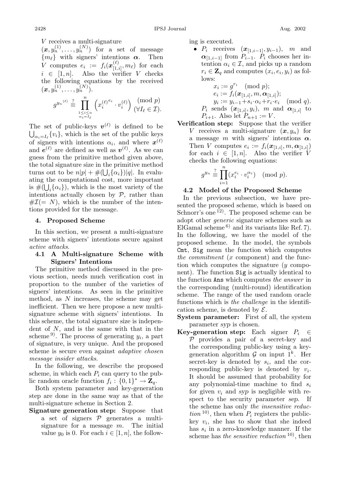V receives a multi-signature<br> $(x, u^{(1)}$   $(u^{(N)})$  for a sq

 $(x, y_n^{(1)}, \ldots, y_n^{(N)})$  for a set of message<br>  $\{m_i\}$  with signers' intentions  $\alpha$  Then  $\{m_{\ell}\}\$  with signers' intentions  $\alpha$ . Then<br> $V$  computes  $c_{\ell} := f(\alpha^{(\ell)}_1, m_{\ell})$  for each V computes  $e_i := f_i(\boldsymbol{x}_{[1,i]}^{(\ell)})$  $\binom{(\ell)}{[1,i]}, m_{\ell}$  for each verifier V shocks  $i \in [1, n]$ . Also the verifier V checks<br>the following equations by the received the following equations by the received  $(\bm{x}, y_n^{(1)}, \ldots, y_n^{(N)}).$ 

$$
g^{y_n^{(\ell)}} \stackrel{?}{\equiv} \prod_{\stackrel{1 \leq i \leq n}{\alpha_i = I_\ell}}^n \left( x_i^{(\ell)^{e_i}} \cdot v_i^{(\ell)} \right) \frac{(\text{mod } p)}{(\forall I_\ell \in \mathcal{I})}.
$$

The set of public-keys  $v^{(\ell)}$  is defined to be  $\bigcup_{\alpha_i=I_{\ell}} \{v_i\}$ , which is the set of the public keys of signers with intentions  $\alpha_i$ , and where  $\mathbf{x}^{(\ell)}$  and  $\mathbf{e}^{(\ell)}$  are defined as well as  $\mathbf{v}^{(\ell)}$  as we can and  $e^{(\ell)}$  are defined as well as  $v^{(\ell)}$ . As we can guess from the primitive method given above, the total signature size in the primitive method turns out to be  $n|p| + \#(\bigcup_i {\{\alpha_i\}})|q|$ . In evaluation the computational cost, more important ating the computational cost, more important is  $\#(\bigcup_i {\{\alpha_i\}}),$  which is the most variety of the intentions actually chosen by  $\mathcal{P}$  rather than intentions actually chosen by  $P$ , rather than  $\#\mathcal{I}(=N)$ , which is the number of the intentions provided for the message.

# **4. Proposed Scheme**

In this section, we present a multi-signature scheme with signers' intentions secure against *active attacks*.

# **4.1 A Multi-signature Scheme with Signers' Intentions**

The primitive method discussed in the previous section, needs much verification cost in proportion to the number of the varieties of signers' intentions. As seen in the primitive method, as  $N$  increases, the scheme may get inefficient. Then we here propose a new multisignature scheme with signers' intentions. In this scheme, the total signature size is independent of  $N$ , and is the same with that in the scheme <sup>9)</sup>. The process of generating  $y_i$ , a part of signature, is very unique. And the proposed scheme is secure even against *adaptive chosen message insider attacks*.

In the following, we describe the proposed scheme, in which each  $P_i$  can query to the public random oracle function  $f_i : \{0,1\}^* \to \mathbb{Z}_q$ .

Both system parameter and key-generation step are done in the same way as that of the multi-signature scheme in Section 2.

**Signature generation step:** Suppose that a set of signers  $P$  generates a multisignature for a message  $m$ . The initial value  $y_0$  is 0. For each  $i \in [1, n]$ , the following is executed.

•  $P_i$  receives  $(\mathbf{x}_{[1,i-1]}, y_{i-1}),$  m and  $\alpha_{[1,i-1]}$  from  $P_{i-1}$ .  $\dot{P}_i$  chooses her intention  $\alpha_i \in \mathcal{I}$ , and picks up a random  $r_i \in \mathbf{Z}_q$  and computes  $(x_i, e_i, y_i)$  as follows:

$$
x_i := g^{r_i} \pmod{p};
$$
  
\n
$$
e_i := f_i(\boldsymbol{x}_{[1,i]}, m, \boldsymbol{\alpha}_{[1,i]});
$$
  
\n
$$
y_i := y_{i-1} + s_i \cdot \alpha_i + r_i \cdot e_i \pmod{q}.
$$
  
\n
$$
P_i \text{ sends } (\boldsymbol{x}_{[1,i]}, y_i), m \text{ and } \boldsymbol{\alpha}_{[1,i]} \text{ to}
$$
  
\n
$$
P_{i+1}. \text{ Also let } P_{n+1} := V.
$$

 $P_{i+1}$ . Also let  $P_{n+1} := V$ .<br>**Verification step:** Suppose that the verifier V receives a multi-signature  $(x, y_n)$  for a message m with signers' intentions *<sup>α</sup>*. Then V computes  $e_i := f_i(\boldsymbol{x}_{[1,i]}, m, \boldsymbol{\alpha}_{[1,i]})$ for each  $i \in [1, n]$ . Also the verifier V checks the following equations:

$$
g^{y_n} \stackrel{?}{\equiv} \prod_{i=1}^n (x_i^{e_i} \cdot v_i^{\alpha_i}) \pmod{p}.
$$

# **4.2 Model of the Proposed Scheme**

In the previous subsection, we have presented the proposed scheme, which is based on Schnorr's one<sup>12)</sup>. The proposed scheme can be adopt other *generic* signature schemes such as ElGamal scheme  $^{6)}$  and its variants like Ref. 7). In the following, we have the model of the proposed scheme. In the model, the symbols Cmt, Sig mean the function which computes *the commitment* (x component) and the function which computes the signature (y component). The function Sig is actually identical to the function Ans which computes *the answer* in the corresponding (multi-round) identification scheme. The range of the used random oracle functions which is *the challenge* in the identification scheme, is denoted by  $\mathcal{E}.$ 

- **System parameter:** First of all, the system parameter *syp* is chosen.
- **Key-generation step:** Each signer  $P_i \in$ P provides a pair of a secret-key and the corresponding public-key using a keygeneration algorithm  $\mathcal G$  on input  $1^k$ . Her secret-key is denoted by  $s_i$ , and the corresponding public-key is denoted by  $v_i$ . It should be assumed that probability for any polynomial-time machine to find  $s_i$ for given  $v_i$  and *syp* is negligible with respect to the security parameter *sep*. If spect to the security parameter *sep*. the scheme has only *the insensitive reduc* $tion^{10}$ , then when  $P_i$  registers the publickey  $v_i$ , she has to show that she indeed has  $s_i$  in a zero-knowledge manner. If the scheme has *the sensitive reduction* 10), then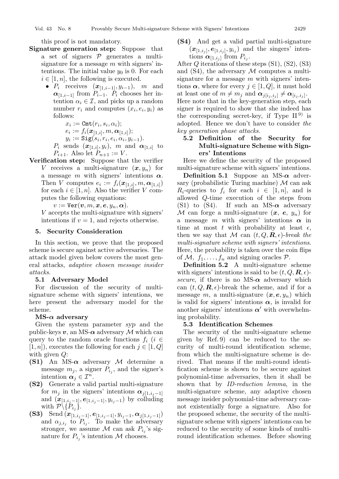this proof is not mandatory.

- **Signature generation step:** Suppose that a set of signers  $P$  generates a multisignature for a message  $m$  with signers' intentions. The initial value  $y_0$  is 0. For each  $i \in [1, n]$ , the following is executed.
	- $P_i$  receives  $(\mathbf{x}_{[1,i-1]}, y_{i-1}),$  *m* and  $\alpha_{[1,i-1]}$  from  $P_{i-1}$ .  $P_i$  chooses her intention  $\alpha_i \in \mathcal{I}$ , and picks up a random number  $r_i$  and computes  $(x_i, e_i, y_i)$  as follows:

$$
x_i := \texttt{Cmt}(r_i, s_i, \alpha_i);
$$
  
\n
$$
e_i := f_i(\boldsymbol{x}_{[1,i]}, m, \boldsymbol{\alpha}_{[1,i]});
$$
  
\n
$$
y_i := \texttt{Sig}(s_i, r_i, e_i, \alpha_i, y_{i-1}).
$$
  
\nsends 
$$
(\boldsymbol{x}_{[1, j]}, y_i) = m \text{ and } \boldsymbol{\alpha}_{[j]}
$$

- $P_i$  sends  $(\mathbf{x}_{[1,i]}, y_i)$ , *m* and  $\mathbf{\alpha}_{[1,i]}$  to  $P_{i+1}$  Also let  $P_{i+1} := V$  $P_{i+1}$ . Also let  $P_{n+1} := V$ .
- **Verification step:** Suppose that the verifier V receives a multi-signature  $(x, y_n)$  for a message m with signers' intentions *<sup>α</sup>*. Then V computes  $e_i := f_i(\boldsymbol{x}_{[1,i]}, m, \boldsymbol{\alpha}_{[1,i]})$ for each  $i \in [1, n]$ . Also the verifier V computes the following equations:

 $v := \text{Ver}(\boldsymbol{v}, m, \boldsymbol{x}, \boldsymbol{e}, y_n, \boldsymbol{\alpha}).$ 

V accepts the multi-signature with signers' intentions if  $v = 1$ , and rejects otherwise.<br>5. Security Consideration

# **5. Security Consideration**

In this section, we prove that the proposed scheme is secure against active adversaries. The attack model given below covers the most general attacks, *adaptive chosen message insider attacks*.

#### **5.1 Adversary Model**

For discussion of the security of multisignature scheme with signers' intentions, we here present the adversary model for the scheme.

#### **MS-***α* **adversary**

Given the system parameter *syp* and the public-keys  $v$ , an MS- $\alpha$  adversary M which can query to the random oracle functions  $f_i$  ( $i \in$  $[1, n]$ , executes the following for each  $j \in [1, Q]$ with given Q:

- **(S1)** An MS-*α* adversary M determine a message  $m_j$ , a signer  $P_{i_j}$ , and the signer's intention  $\alpha_j \in \mathcal{I}^n$ .
- **(S2)** Generate a valid partial multi-signature for  $m_j$  in the signers' intentions  $\alpha_{i[1,i,j-1]}$ and  $(\mathbf{x}_{[1,i_j-1]}, \mathbf{e}_{[1,i_j-1]}, y_{i_j-1})$  by colluding with  $\mathcal{P}\backslash \{P_{i_j}\}.$
- **(S3)** Send  $(\mathbf{x}_{[1,i_j-1]}, \mathbf{e}_{[1,i_j-1]}, y_{i_j-1}, \mathbf{\alpha}_{j[1,i_j-1]})$ <br>and  $\alpha_{i,j}$  to P. To make the adversary and  $\alpha_{j,i_j}$  to  $P_{i_j}$ . To make the adversary<br>stronger we assume M can ask P 's sigstronger, we assume M can ask  $P_{i_j}$ 's signature for  $P_{i_j}$ 's intention M chooses.

**(S4)** And get a valid partial multi-signature  $(x_{[1,i_j]}, e_{[1,i_j]}, y_{i_j})$  and the singers' intentions  $\alpha_{[1,i_j]}$  from  $P_{i_j}$ .

After  $Q$  iterations of these steps  $(S1), (S2), (S3)$ and  $(S4)$ , the adversary M computes a multisignature for a message  $m$  with signers' intentions  $\alpha$ , where for every  $j \in [1, Q]$ , it must hold at least one of  $m \neq m_j$  and  $\boldsymbol{\alpha}_{j[i_j,i_j]} \neq \boldsymbol{\alpha}_{[i_j,i_j]}.$ Here note that in the key-generation step, each signer is required to show that she indeed has the corresponding secret-key, if Type  $II^{9}$  is adopted. Hence we don't have to consider *the key generation phase attacks*.

# **5.2 Definition of the Security for Multi-signature Scheme with Signers' Intentions**

Here we define the security of the proposed multi-signature scheme with signers' intentions.

**Definition 5.1** Suppose an MS- $\alpha$  adversary (probabilistic Turing machine)  $\mathcal M$  can ask  $R_i$ -queries to  $f_i$  for each  $i \in [1, n]$ , and is allowed Q-time execution of the steps from (S1) to (S4). If such an MS- $\alpha$  adversary M can forge a multi-signature  $(x, e, y_n)$  for a message m with signers' intentions *<sup>α</sup>* in time at most t with probability at least  $\epsilon$ , then we say that M can  $(t, Q, \mathbf{R}, \epsilon)$ -break the *multi-signature scheme with signers' intentions*. Here, the probability is taken over the coin flips of  $M$ ,  $f_1$ , ...,  $f_n$  and signing oracles  $\mathcal{P}$ .

**Definition 5.2** A multi-signature scheme with signers' intentions is said to be  $(t, Q, \mathbf{R}, \epsilon)$ *secure*, if there is no MS- $\alpha$  adversary which can  $(t, Q, \mathbf{R}, \epsilon)$ -break the scheme, and if for a message m, a multi-signature  $(x, e, y_n)$  which is valid for signers' intentions  $\alpha$ , is invalid for another signers' intentions  $\alpha'$  with overwhelming probability.

#### **5.3** Identification Schemes

The security of the multi-signature scheme given by Ref. 9) can be reduced to the security of multi-round identification scheme, from which the multi-signature scheme is derived. That means if the multi-round identification scheme is shown to be secure against polynomial-time adversaries, then it shall be shown that by *ID-reduction lemma*, in the multi-signature scheme, any adaptive chosen message insider polynomial-time adversary cannot existentially forge a signature. Also for the proposed scheme, the security of the multisignature scheme with signers' intentions can be reduced to the security of some kinds of multiround identification schemes. Before showing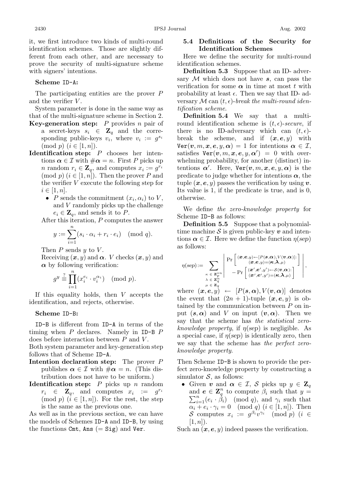it, we first introduce two kinds of multi-round identification schemes. Those are slightly different from each other, and are necessary to prove the security of multi-signature scheme with signers' intentions.

#### **Scheme** ID-A**:**

The participating entities are the prover P and the verifier V.

System parameter is done in the same way as that of the multi-signature scheme in Section 2.

- **Key-generation step:** P provides n pair of a secret-keys  $s_i \in \mathbf{Z}_q$  and the corresponding public-keys  $v_i$ , where  $v_i := g^{s_i}$  $(mod p)$   $(i \in [1, n]).$
- **Identification step:** P chooses her intentions  $\alpha \in \mathcal{I}$  with  $\#\alpha = n$ . First P picks up *n* random  $r_i \in \mathbf{Z}_q$ , and computes  $x_i := g^{r_i}$ (mod p)  $(i \in [1, n])$ . Then the prover P and the verifier V execute the following step for  $i \in [1, n].$ 
	- P sends the commitment  $(x_i, \alpha_i)$  to V, and V randomly picks up the challenge  $e_i \in \mathbf{Z}_q$ , and sends it to P.

After this iteration, P computes the answer

$$
y := \sum_{i=1}^{n} (s_i \cdot \alpha_i + r_i \cdot e_i) \pmod{q}.
$$

Then  $P$  sends  $y$  to  $V$ .

Receiving  $(x, y)$  and  $\alpha$ . *V* checks  $(x, y)$  and *α* by following verification:

$$
g^y \stackrel{?}{\equiv} \prod_{i=1}^n (x_i^{e_i} \cdot v_i^{\alpha_i}) \pmod{p}.
$$

If this equality holds, then  $V$  accepts the identification, and rejects, otherwise.

## **Scheme** ID-B**:**

ID-B is different from ID-A in terms of the timing when P declares. Namely in ID-B P does before interaction between P and V.

Both system parameter and key-generation step follows that of Scheme ID-A.

- **Intention declaration step:** The prover P publishes  $\alpha \in \mathcal{I}$  with  $\#\alpha = n$ . (This distribution does not have to be uniform.)
- **Identification step:** P picks up n random  $r_i \in \mathbf{Z}_q$ , and computes  $x_i := g^{r_i}$  $\pmod{p}$   $(i \in [1, n])$ . For the rest, the step is the same as the previous one.

As well as in the previous section, we can have the models of Schemes ID-A and ID-B, by using the functions  $\texttt{Cmt}$ ,  $\texttt{Ans} (= \texttt{Sig})$  and  $\texttt{Ver}$ .

## **5.4 Definitions of the Security for Identification Schemes**

Here we define the security for multi-round identification schemes.

**Definition 5.3** Suppose that an ID- adversary M which does not have *s*, can pass the verification for some  $\alpha$  in time at most t with probability at least  $\epsilon$ . Then we say that ID- adversary M can  $(t, \epsilon)$ -break the multi-round iden*tification scheme*.

**Definition 5.4** We say that a multiround identification scheme is  $(t, \epsilon)$ -secure, if there is no ID-adversary which can  $(t, \epsilon)$ break the scheme, and if  $(x, e, y)$  with  $\text{Ver}(\boldsymbol{v}, m, \boldsymbol{x}, \boldsymbol{e}, y, \boldsymbol{\alpha}) = 1$  for intentions  $\boldsymbol{\alpha} \in \mathcal{I}$ , satisfies  $\text{Ver}(\boldsymbol{v}, m, \boldsymbol{x}, \boldsymbol{e}, y, \boldsymbol{\alpha}') = 0$  with over-<br>whelming probability for another (distinct) inwhelming probability, for another (distinct) intentions  $\alpha'$ . Here,  $\text{Ver}(v, m, x, e, y, \alpha)$  is the predicate to judge whether for intentions  $\alpha$  the predicate to judge whether for intentions  $\alpha$ , the tuple  $(x, e, y)$  passes the verification by using  $v$ . Its value is 1, if the predicate is true, and is 0, otherwise.

We define *the zero-knowledge property* for Scheme ID-B as follows:

**Definition 5.5** Suppose that a polynomialtime machine  $S$  is given public-key  $v$  and intentions  $\alpha \in \mathcal{I}$ . Here we define the function  $\eta(\text{sep})$ as follows:

$$
\eta(\text{sep}) := \sum_{\substack{\kappa \in \mathbf{Z}_p^{*n} \\ \lambda \in \mathbf{Z}_q^n}} \left| \Pr\left[\frac{(\boldsymbol{x}, \boldsymbol{e}, \boldsymbol{y}) \leftarrow [P(\boldsymbol{s}, \boldsymbol{\alpha}), V(\boldsymbol{v}, \boldsymbol{\alpha})]:}{(\boldsymbol{x}, \boldsymbol{e}, \boldsymbol{y}) = (\boldsymbol{\kappa}, \boldsymbol{\lambda}, \boldsymbol{\mu})} \right] \right|, \\ - \Pr\left[\frac{(\boldsymbol{x}', \boldsymbol{e}', \boldsymbol{y}') \leftarrow S(\boldsymbol{v}, \boldsymbol{\alpha}) :}{(\boldsymbol{x}', \boldsymbol{e}', \boldsymbol{y}') = (\boldsymbol{\kappa}, \boldsymbol{\lambda}, \boldsymbol{\mu})} \right] \right|,
$$

where  $(\mathbf{x}, \mathbf{e}, y) \leftarrow [P(\mathbf{s}, \alpha), V(\mathbf{v}, \alpha)]$  denotes the event that  $(2n + 1)$ -tuple  $(x, e, y)$  is obtained by the communication between P on input  $(s, \alpha)$  and V on input  $(v, \alpha)$ . Then we say that the scheme has *the statistical zeroknowledge property*, if  $\eta$ (*sep*) is negligible. As a special case, if  $\eta$ (*sep*) is identically zero, then we say that the scheme has *the perfect zeroknowledge property*.

Then Scheme ID-B is shown to provide the perfect zero-knowledge property by constructing a simulator  $S$ , as follows:

• Given *v* and  $\alpha \in \mathcal{I}$ , *S* picks up  $y \in \mathbf{Z}_q$ and  $e \in \mathbb{Z}_q^n$  to compute  $\beta_i$  such that  $y =$ <br> $\sum_{i=1}^n (e_i, \beta_i)$  (mod *a*) and  $\gamma_i$  such that and  $e \in \mathbb{Z}_q$  to compute  $\rho_i$  such that  $y = \sum_{i=1}^n (e_i \cdot \beta_i) \pmod{q}$ , and  $\gamma_i$  such that  $\alpha + e \cdot \alpha = 0 \pmod{q}$  ( $i \in [1, n]$ ). Then  $\alpha_i + e_i \cdot \gamma_i = 0 \pmod{q}$   $(i \in [1, n])$ . Then S computes  $x_i := g^{\beta_i} v^{\gamma_i} \pmod{p}$  (i  $\in$  $[1, n]$ .

Such an  $(x, e, y)$  indeed passes the verification.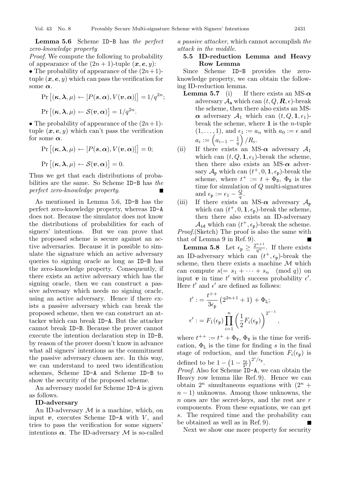**Lemma 5.6** Scheme ID-B has *the perfect zero-knowledge property*

*Proof*. We compute the following to probability of appearance of the  $(2n + 1)$ -tuple  $(x, e, y)$ :

• The probability of appearance of the  $(2n+1)$ tuple  $(x, e, y)$  which can pass the verification for some *α*.

$$
\Pr\left[(\kappa, \lambda, \mu) \leftarrow [P(s, \alpha), V(v, \alpha)]\right] = 1/q^{2n};
$$
  

$$
\Pr\left[(\kappa, \lambda, \mu) \leftarrow \mathcal{S}(v, \alpha)\right] = 1/q^{2n}.
$$

• The probability of appearance of the  $(2n+1)$ tuple  $(x, e, y)$  which can't pass the verification for some  $\alpha$ .

$$
\Pr\left[(\kappa, \lambda, \mu) \leftarrow [P(s, \alpha), V(v, \alpha)]\right] = 0;
$$
  

$$
\Pr\left[(\kappa, \lambda, \mu) \leftarrow \mathcal{S}(v, \alpha)\right] = 0.
$$

Thus we get that each distributions of probabilities are the same. So Scheme ID-B has *the* perfect zero-knowledge property. *perfect zero-knowledge property*.

As mentioned in Lemma 5.6, ID-B has the perfect zero-knowledge property, whereas ID-A does not. Because the simulator does not know the distributions of probabilities for each of signers' intentions. But we can prove that the proposed scheme is secure against an active adversaries. Because it is possible to simulate the signature which an active adversary queries to signing oracle as long as ID-B has the zero-knowledge property. Consequently, if there exists an active adversary which has the signing oracle, then we can construct a passive adversary which needs no signing oracle, using an active adversary. Hence if there exists a passive adversary which can break the proposed scheme, then we can construct an attacker which can break ID-A. But the attacker cannot break ID-B. Because the prover cannot execute the intention declaration step in ID-B, by reason of the prover doesn't know in advance what all signers' intentions as the commitment the passive adversary chosen are. In this way, we can understand to need two identification schemes, Scheme ID-A and Scheme ID-B to show the security of the proposed scheme.

An adversary model for Scheme ID-A is given as follows.

#### **ID-adversary**

An ID-adversary  $M$  is a machine, which, on input  $v$ , executes Scheme ID-A with  $V$ , and tries to pass the verification for some signers' intentions  $\alpha$ . The ID-adversary M is so-called

*a passive attacker*, which cannot accomplish *the attack in the middle*.

# **5.5 ID-reduction Lemma and Heavy Row Lemma**

Since Scheme ID-B provides the zeroknowledge property, we can obtain the following ID-reduction lemma.

- **Lemma 5.7** (i) If there exists an MS- $\alpha$ adversary  $\mathcal{A}_{a}$  which can  $(t, Q, \mathbf{R}, \epsilon)$ -break the scheme, then there also exists an MS- $\alpha$  adversary  $\mathcal{A}_1$  which can  $(t, Q, 1, \epsilon_1)$ break the scheme, where **<sup>1</sup>** is the n-tuple  $(1,\ldots, 1)$ , and  $\epsilon_1 := a_n$  with  $a_0 := \epsilon$  and  $a_i := \left(a_{i-1} - \frac{1}{q}\right) / R_i.$
- (ii) If there exists an MS- $\alpha$  adversary  $A_1$ which can  $(t, Q, 1, \epsilon_1)$ -break the scheme, then there also exists an MS-*α* adversary  $\mathcal{A}_{\rm p}$  which can  $(t^+, 0, 1, \epsilon_{\rm p})$ -break the scheme, where  $t^+ := t + \Phi_s$ ,  $\Phi_s$  is the time for simulation of O multi-signatures time for simulation of Q multi-signatures and  $\epsilon_{\mathbf{p}} := \epsilon_1 - \frac{Q}{q}$ .<br>If there exists an
- (iii) If there exists an MS- $\alpha$  adversary  $A_{\rm p}$ which can  $(t^+, 0, 1, \epsilon_p)$ -break the scheme, then there also exists an ID-adversary  $\mathcal{A}_{id}$  which can  $(t^+, \epsilon_p)$ -break the scheme.<br>(Sketch) The proof is also the same with

*Proof*.(Sketch) The proof is also the same with that of Lemma 9 in Ref. 9).

**Lemma 5.8** Let  $\epsilon_p \geq \frac{2^{n+1}}{q^n}$ . If there exists an ID-adversary which can  $(t^+, \epsilon_p)$ -break the scheme, then there exists a machine  $M$  which can compute  $s(= s_1 + \cdots + s_n \pmod{q}$  on input *v* in time  $t'$  with success probability  $\epsilon'$ .<br>Here  $t'$  and  $\epsilon'$  are defined as follows: Here  $t'$  and  $\epsilon'$  are defined as follows:

$$
t' := \frac{t^{++}}{3\epsilon_{\mathbf{p}}}(2^{2n+1} + 1) + \Phi_{\mathbf{L}};
$$
  

$$
\epsilon' := F_1(\epsilon_{\mathbf{p}}) \prod_{i=1}^n \left(\frac{1}{2}F_i(\epsilon_{\mathbf{p}})\right)^{2^{i-1}},
$$

where  $t^{++} := t^+ + \Phi_{\mathbf{V}}, \Phi_{\mathbf{V}}$  is the time for verification  $\Phi_{\mathbf{V}}$  is the time for finding s in the final cation,  $\Phi_L$  is the time for finding s in the final stage of reduction, and the function  $F_i(\epsilon_{\rm p})$  is defined to be  $1 - \left(1 - \frac{\epsilon_{\rm P}}{2^i}\right)^{2^i/\epsilon_{\rm P}}$ .

*Proof*. Also for Scheme ID-A, we can obtain the Heavy row lemma like Ref. 9). Hence we can obtain  $2^n$  simultaneous equations with  $(2^n +$  $n-1$ ) unknowns. Among those unknowns, the n ones are the secret-keys, and the rest are r components. From these equations, we can get s. The required time and the probability can be obtained as well as in Ref. 9).

Next we show one more property for security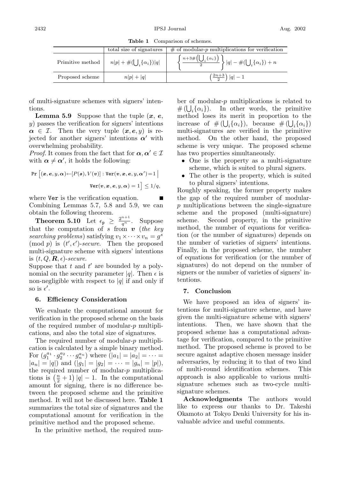**Table 1** Comparison of schemes.

|                  | total size of signatures                 | $\#$ of modular-p multiplications for verification                                                                                                                |  |
|------------------|------------------------------------------|-------------------------------------------------------------------------------------------------------------------------------------------------------------------|--|
| Primitive method | $n p  + \#(\bigcup_i {\{\alpha_i\}}) q $ | $\int \frac{n+3\#\left( \bigcup_i \left\{ \alpha_i \right\} \right)}{\widehat{\alpha}} \bigg\} \,  q  - \#\bigl( \bigcup_i \left\{ \alpha_i \right\} \right) + n$ |  |
| Proposed scheme  | $n p + q $                               | $\left(\frac{2n+3}{2}\right) q -1$                                                                                                                                |  |

of multi-signature schemes with signers' intentions.

**Lemma 5.9** Suppose that the tuple (*x*, *e*, y) passes the verification for signers' intentions  $\alpha \in \mathcal{I}$ . Then the very tuple  $(\boldsymbol{x}, \boldsymbol{e}, y)$  is reiected for another signers' intentions  $\alpha'$  with overwhelming probability.

*Proof.* It comes from the fact that for  $\alpha, \alpha' \in \mathcal{I}$ with  $\alpha \neq \alpha'$ , it holds the following:

$$
\Pr\left[(\boldsymbol{x},\boldsymbol{e},y,\boldsymbol{\alpha}) \leftarrow [P(\boldsymbol{s}),V(\boldsymbol{v})]: \texttt{Ver}(\boldsymbol{v},\boldsymbol{x},\boldsymbol{e},y,\boldsymbol{\alpha}')\!=\!1 \;\middle|\; \right. \\
$$

$$
\texttt{Ver}(\boldsymbol{v},\boldsymbol{x},\boldsymbol{e},y,\boldsymbol{\alpha})=1 \right] \leq 1/q,
$$

where  $Ver$  is the verification equation. Combining Lemmas 5.7, 5.8 and 5.9, we can obtain the following theorem.

**Theorem 5.10** Let  $\epsilon_p \geq \frac{2^{n+1}}{q^n}$ . Suppose that the computation of s from *<sup>v</sup>* (*the key searching problems*) satisfying  $v_1 \times \cdots \times v_n = g^s$  $\pmod{p}$  is  $(t', \epsilon')$ -secure. Then the proposed<br>multi-signature scheme with signers' intentions multi-signature scheme with signers' intentions is  $(t, Q, \mathbf{R}, \epsilon)$ -secure.

Suppose that t and t' are bounded by a poly-<br>nomial on the security parameter  $|a|$ . Then  $\epsilon$  is nomial on the security parameter |q|. Then  $\epsilon$  is non-negligible with respect to |q| if and only if so is  $\epsilon'$ .

#### **6. Efficiency Consideration**

We evaluate the computational amount for verification in the proposed scheme on the basis of the required number of modular-p multiplications, and also the total size of signatures.

The required number of modular-p multiplication is calculated by a simple binary method. For  $(g_1^{a_1} \cdot g_2^{a_2} \cdots g_n^{a_n})$  where  $(|a_1| = |a_2| = \cdots =$ <br> $|a_1| = |a_1|$  and  $(|a_2| = |a_2| = \cdots = |a_n| = |n|)$  $|a_n| = |q|$  and  $(|g_1| = |g_2| = \cdots = |g_n| = |p|$ , the required number of modular- $p$  multiplications is  $(\frac{n}{2} + 1) |q| - 1$ . In the computational<br>amount for signing there is no difference beamount for signing, there is no difference between the proposed scheme and the primitive method. It will not be discussed here. **Table 1** summarizes the total size of signatures and the computational amount for verification in the primitive method and the proposed scheme.

In the primitive method, the required num-

ber of modular-p multiplications is related to  $\#$  (  $\cup_i {\alpha_i}$  ). In other words, the primitive method loses its merit in proportion to the increase of  $\#(\bigcup_i {\{\alpha_i\}})$ , because  $\#(\bigcup_i {\{\alpha_i\}})$ <br>multi-signatures are verified in the primitive multi-signatures are verified in the primitive method. On the other hand, the proposed scheme is very unique. The proposed scheme has two properties simultaneously.

- One is the property as a multi-signature scheme, which is suited to plural signers.
- The other is the property, which is suited to plural signers' intentions.

Roughly speaking, the former property makes the gap of the required number of modularp multiplications between the single-signature scheme and the proposed (multi-signature) scheme. Second property, in the primitive method, the number of equations for verification (or the number of signatures) depends on the number of varieties of signers' intentions. Finally, in the proposed scheme, the number of equations for verification (or the number of signatures) do not depend on the number of signers or the number of varieties of signers' intentions.

## **7. Conclusion**

We have proposed an idea of signers' intentions for multi-signature scheme, and have given the multi-signature scheme with signers' intentions. Then, we have shown that the proposed scheme has a computational advantage for verification, compared to the primitive method. The proposed scheme is proved to be secure against adaptive chosen message insider adversaries, by reducing it to that of two kind of multi-round identification schemes. This approach is also applicable to various multisignature schemes such as two-cycle multisignature schemes.

**Acknowledgments** The authors would like to express our thanks to Dr. Takeshi Okamoto at Tokyo Denki University for his invaluable advice and useful comments.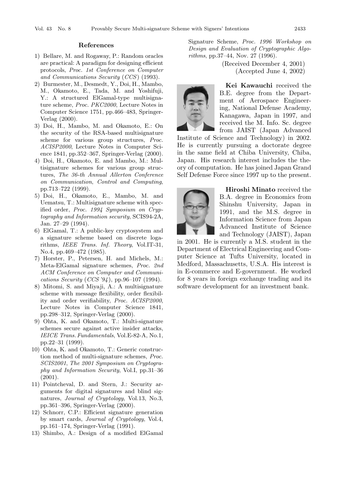## **References**

- 1) Bellare, M. and Rogaway, P.: Random oracles are practical: A paradigm for designing efficient protocols, *Proc. 1st Conference on Computer and Communications Security* (*CCS*) (1993).
- 2) Burmester, M., Desmedt, Y., Doi, H., Mambo, M., Okamoto, E., Tada, M. and Yoshifuji, Y.: A structured ElGamal-type multisignature scheme, *Proc. PKC2000*, Lecture Notes in Computer Science 1751, pp.466–483, Springer-Verlag (2000).
- 3) Doi, H., Mambo, M. and Okamoto, E.: On the security of the RSA-based multisignature scheme for various group structures, *Proc. ACISP2000*, Lecture Notes in Computer Science 1841, pp.352–367, Springer-Verlag (2000).
- 4) Doi, H., Okamoto, E. and Mambo, M.: Multisignature schemes for various group structures, *The 36-th Annual Allerton Conference on Communication*, *Control and Computing*, pp.713–722 (1999).
- 5) Doi, H., Okamoto, E., Mambo, M. and Uematsu, T.: Multisignature scheme with specified order, *Proc. 1994 Symposium on Cryptography and Information security*, SCIS94-2A, Jan. 27–29 (1994).
- 6) ElGamal, T.: A public-key cryptosystem and a signature scheme based on discrete logarithms, *IEEE Trans. Inf. Theory*, Vol.IT-31, No.4, pp.469–472 (1985).
- 7) Horster, P., Petersen, H. and Michels, M.: Meta-ElGamal signature schemes, *Proc. 2nd ACM Conference on Computer and Communications Security* (*CCS '94*), pp.96–107 (1994).
- 8) Mitomi, S. and Miyaji, A.: A multisignature scheme with message flexibility, order flexibility and order verifiability, *Proc. ACISP2000*, Lecture Notes in Computer Science 1841, pp.298–312, Springer-Verlag (2000).
- 9) Ohta, K. and Okamoto, T.: Multi-signature schemes secure against active insider attacks, *IEICE Trans.Fundamentals*, Vol.E-82-A, No.1, pp.22–31 (1999).
- 10) Ohta, K. and Okamoto, T.: Generic construction method of multi-signature schemes, *Proc. SCIS2001*, *The 2001 Symposium on Cryptography and Information Security*, Vol.I, pp.31–36 (2001).
- 11) Pointcheval, D. and Stern, J.: Security arguments for digital signatures and blind signatures, *Journal of Cryptology*, Vol.13, No.3, pp.361–396, Springer-Verlag (2000).
- 12) Schnorr, C.P.: Efficient signature generation by smart cards, *Journal of Cryptology*, Vol.4, pp.161–174, Springer-Verlag (1991).
- 13) Shimbo, A.: Design of a modified ElGamal

Signature Scheme, *Proc. 1996 Workshop on Design and Evaluation of Cryptographic Algorithms*, pp.37–44, Nov. 27 (1996).

> (Received December 4, 2001) (Accepted June 4, 2002)



**Kei Kawauchi** received the B.E. degree from the Department of Aerospace Engineering, National Defense Academy, Kanagawa, Japan in 1997, and received the M. Info. Sc. degree from JAIST (Japan Advanced

Institute of Science and Technology) in 2002. He is currently pursuing a doctorate degree in the same field at Chiba University, Chiba, Japan. His research interest includes the theory of computation. He has joined Japan Grand Self Defense Force since 1997 up to the present.



**Hiroshi Minato** received the B.A. degree in Economics from Shinshu University, Japan in 1991, and the M.S. degree in Information Science from Japan Advanced Institute of Science and Technology (JAIST), Japan

in 2001. He is currently a M.S. student in the Department of Electrical Engineering and Computer Science at Tufts University, located in Medford, Massachusetts, U.S.A. His interest is in E-commerce and E-government. He worked for 8 years in foreign exchange trading and its software development for an investment bank.